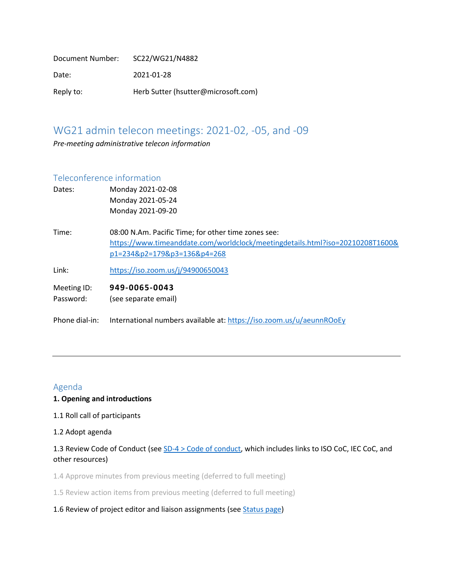| Document Number: | SC22/WG21/N4882                     |
|------------------|-------------------------------------|
| Date:            | 2021-01-28                          |
| Reply to:        | Herb Sutter (hsutter@microsoft.com) |

# WG21 admin telecon meetings: 2021-02, -05, and -09

*Pre-meeting administrative telecon information*

### Teleconference information

| Dates:         | Monday 2021-02-08                                                             |
|----------------|-------------------------------------------------------------------------------|
|                | Monday 2021-05-24                                                             |
|                | Monday 2021-09-20                                                             |
| Time:          | 08:00 N.Am. Pacific Time; for other time zones see:                           |
|                | https://www.timeanddate.com/worldclock/meetingdetails.html?iso=20210208T1600& |
|                | p1=234&p2=179&p3=136&p4=268                                                   |
| Link:          | https://iso.zoom.us/j/94900650043                                             |
| Meeting ID:    | 949-0065-0043                                                                 |
| Password:      | (see separate email)                                                          |
| Phone dial-in: | International numbers available at: https://iso.zoom.us/u/aeunnROoEy          |

### Agenda

### **1. Opening and introductions**

- 1.1 Roll call of participants
- 1.2 Adopt agenda

## 1.3 Review Code of Conduct (see [SD-4 > Code of conduct,](https://isocpp.org/std/standing-documents/sd-4-wg21-practices-and-procedures#code-of-conduct) which includes links to ISO CoC, IEC CoC, and other resources)

1.4 Approve minutes from previous meeting (deferred to full meeting)

1.5 Review action items from previous meeting (deferred to full meeting)

#### 1.6 Review of project editor and liaison assignments (see [Status page\)](http://isocpp.org/std/status)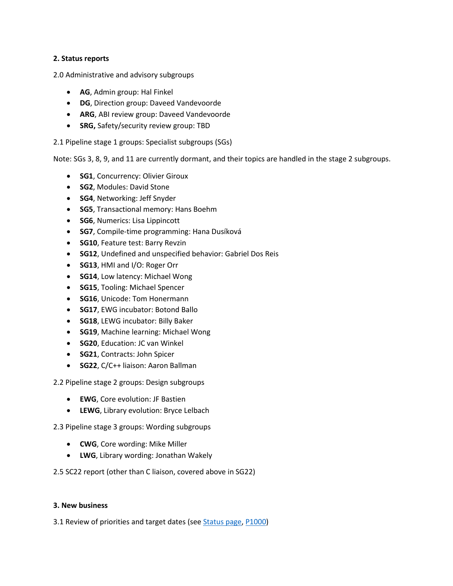#### **2. Status reports**

2.0 Administrative and advisory subgroups

- **AG**, Admin group: Hal Finkel
- **DG**, Direction group: Daveed Vandevoorde
- **ARG**, ABI review group: Daveed Vandevoorde
- **SRG,** Safety/security review group: TBD

2.1 Pipeline stage 1 groups: Specialist subgroups (SGs)

Note: SGs 3, 8, 9, and 11 are currently dormant, and their topics are handled in the stage 2 subgroups.

- **SG1**, Concurrency: Olivier Giroux
- **SG2**, Modules: David Stone
- **SG4**, Networking: Jeff Snyder
- **SG5**, Transactional memory: Hans Boehm
- **SG6**, Numerics: Lisa Lippincott
- **SG7**, Compile-time programming: Hana Dusíková
- **SG10**, Feature test: Barry Revzin
- **SG12**, Undefined and unspecified behavior: Gabriel Dos Reis
- **SG13**, HMI and I/O: Roger Orr
- **SG14**, Low latency: Michael Wong
- **SG15**, Tooling: Michael Spencer
- **SG16**, Unicode: Tom Honermann
- **SG17**, EWG incubator: Botond Ballo
- **SG18**, LEWG incubator: Billy Baker
- **SG19**, Machine learning: Michael Wong
- **SG20**, Education: JC van Winkel
- **SG21**, Contracts: John Spicer
- **SG22**, C/C++ liaison: Aaron Ballman

2.2 Pipeline stage 2 groups: Design subgroups

- **EWG**, Core evolution: JF Bastien
- **LEWG**, Library evolution: Bryce Lelbach

2.3 Pipeline stage 3 groups: Wording subgroups

- **CWG**, Core wording: Mike Miller
- **LWG**, Library wording: Jonathan Wakely

2.5 SC22 report (other than C liaison, covered above in SG22)

#### **3. New business**

3.1 Review of priorities and target dates (se[e Status page,](http://isocpp.org/std/status) [P1000\)](https://wg21.link/p1000)